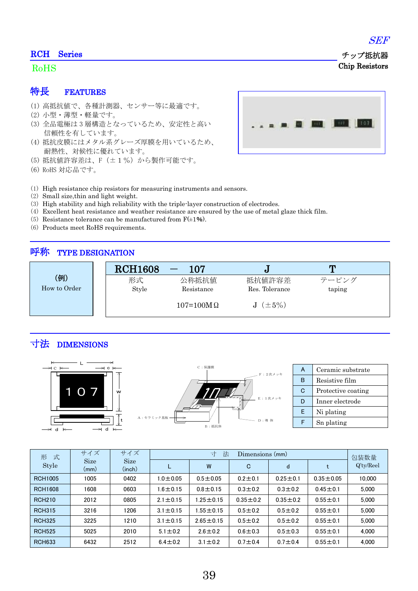#### RCH Series

### RoHS

### 特長 FEATURES

- (1) 高抵抗値で、各種計測器、センサー等に最適です。
- (2) 小型・薄型・軽量です。
- (3) 全品電極は 3 層構造となっているため、安定性と高い 信頼性を有しています。
- (4) 抵抗皮膜にはメタル系グレーズ厚膜を用いているため、 耐熱性、対候性に優れています。
- (5) 抵抗値許容差は、F(±1%)から製作可能です。
- (6) RoHS 対応品です。



- (1) High resistance chip resistors for measuring instruments and sensors.
- (2) Small size,thin and light weight.
- (3) High stability and high reliability with the triple-layer construction of electrodes.
- (4) Excellent heat resistance and weather resistance are ensured by the use of metal glaze thick film.
- (5) Resistance tolerance can be manufactured from  $F(\pm 1\%)$ .
- (6) Products meet RoHS requirements.

### 呼称 TYPE DESIGNATION

|              | <b>RCH1608</b> | 107                |                |        |
|--------------|----------------|--------------------|----------------|--------|
| (例)          | 形式             | 公称抵抗值              | 抵抗値許容差         | テーピング  |
| How to Order | Style          | Resistance         | Res. Tolerance | taping |
|              |                | $107 = 100M\Omega$ | $(\pm 5\%)$    |        |

# 寸法 DIMENSIONS



| 式<br>形         | サイズ                 | サイズ                   | 寸<br>法<br>Dimensions (mm) |                 |               |                | 包装数量            |              |
|----------------|---------------------|-----------------------|---------------------------|-----------------|---------------|----------------|-----------------|--------------|
| Style          | <b>Size</b><br>(mm) | <b>Size</b><br>(inch) |                           | W               | C             | d              | t               | $Q'$ ty/Reel |
| <b>RCH1005</b> | 1005                | 0402                  | $1.0 \pm 0.05$            | $0.5 \pm 0.05$  | $0.2 + 0.1$   | $0.25 \pm 0.1$ | $0.35 \pm 0.05$ | 10,000       |
| <b>RCH1608</b> | 1608                | 0603                  | $1.6 \pm 0.15$            | $0.8 \pm 0.15$  | $0.3 \pm 0.2$ | $0.3 \pm 0.2$  | $0.45 + 0.1$    | 5.000        |
| <b>RCH210</b>  | 2012                | 0805                  | $2.1 \pm 0.15$            | 1.25 $\pm$ 0.15 | $0.35 + 0.2$  | $0.35 \pm 0.2$ | $0.55 \pm 0.1$  | 5.000        |
| <b>RCH315</b>  | 3216                | 1206                  | $3.1 \pm 0.15$            | $.55 \pm 0.15$  | $0.5 + 0.2$   | $0.5 \pm 0.2$  | $0.55 \pm 0.1$  | 5.000        |
| <b>RCH325</b>  | 3225                | 1210                  | $3.1 \pm 0.15$            | $2.65 \pm 0.15$ | $0.5 + 0.2$   | $0.5 \pm 0.2$  | $0.55 \pm 0.1$  | 5.000        |
| <b>RCH525</b>  | 5025                | 2010                  | $5.1 \pm 0.2$             | $2.6 \pm 0.2$   | $0.6 \pm 0.3$ | $0.5 \pm 0.3$  | $0.55 \pm 0.1$  | 4.000        |
| <b>RCH633</b>  | 6432                | 2512                  | $6.4 \pm 0.2$             | $3.1 \pm 0.2$   | $0.7 + 0.4$   | $0.7 + 0.4$    | $0.55 \pm 0.1$  | 4.000        |

SEF

 チップ抵抗器 Chip Resistors